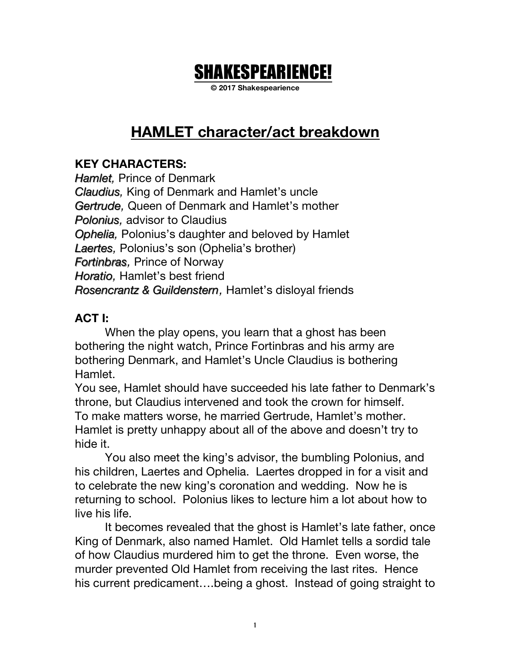# SHAKESPEARIENCE!

**© 2017 Shakespearience**

## **HAMLET character/act breakdown**

### **KEY CHARACTERS:**

*Hamlet,* Prince of Denmark *Claudius Claudius,* King of Denmark and Hamlet's uncle *Gertrude Gertrude,* Queen of Denmark and Hamlet's mother *Polonius Polonius,* advisor to Claudius *Ophelia Ophelia,* Polonius's daughter and beloved by Hamlet *Laertes Laertes,* Polonius's son (Ophelia's brother) *Fortinbras Fortinbras,* Prince of Norway *Horatio Horatio,* Hamlet's best friend *Rosencrantz & Guildenstern & Guildenstern,* Hamlet's disloyal friends

#### **ACT I:**

When the play opens, you learn that a ghost has been bothering the night watch, Prince Fortinbras and his army are bothering Denmark, and Hamlet's Uncle Claudius is bothering Hamlet.

You see, Hamlet should have succeeded his late father to Denmark's throne, but Claudius intervened and took the crown for himself. To make matters worse, he married Gertrude, Hamlet's mother. Hamlet is pretty unhappy about all of the above and doesn't try to hide it.

You also meet the king's advisor, the bumbling Polonius, and his children, Laertes and Ophelia. Laertes dropped in for a visit and to celebrate the new king's coronation and wedding. Now he is returning to school. Polonius likes to lecture him a lot about how to live his life.

It becomes revealed that the ghost is Hamlet's late father, once King of Denmark, also named Hamlet. Old Hamlet tells a sordid tale of how Claudius murdered him to get the throne. Even worse, the murder prevented Old Hamlet from receiving the last rites. Hence his current predicament….being a ghost. Instead of going straight to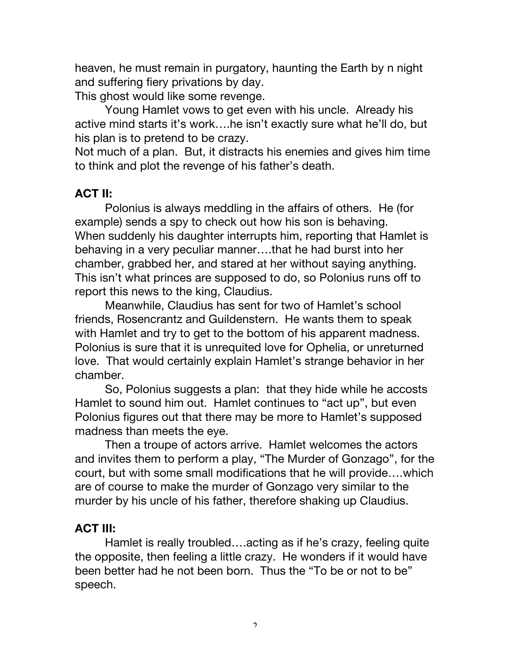heaven, he must remain in purgatory, haunting the Earth by n night and suffering fiery privations by day.

This ghost would like some revenge.

Young Hamlet vows to get even with his uncle. Already his active mind starts it's work….he isn't exactly sure what he'll do, but his plan is to pretend to be crazy.

Not much of a plan. But, it distracts his enemies and gives him time to think and plot the revenge of his father's death.

#### **ACT II:**

Polonius is always meddling in the affairs of others. He (for example) sends a spy to check out how his son is behaving. When suddenly his daughter interrupts him, reporting that Hamlet is behaving in a very peculiar manner….that he had burst into her chamber, grabbed her, and stared at her without saying anything. This isn't what princes are supposed to do, so Polonius runs off to report this news to the king, Claudius.

Meanwhile, Claudius has sent for two of Hamlet's school friends, Rosencrantz and Guildenstern. He wants them to speak with Hamlet and try to get to the bottom of his apparent madness. Polonius is sure that it is unrequited love for Ophelia, or unreturned love. That would certainly explain Hamlet's strange behavior in her chamber.

So, Polonius suggests a plan: that they hide while he accosts Hamlet to sound him out. Hamlet continues to "act up", but even Polonius figures out that there may be more to Hamlet's supposed madness than meets the eye.

Then a troupe of actors arrive. Hamlet welcomes the actors and invites them to perform a play, "The Murder of Gonzago", for the court, but with some small modifications that he will provide….which are of course to make the murder of Gonzago very similar to the murder by his uncle of his father, therefore shaking up Claudius.

#### **ACT III:**

Hamlet is really troubled….acting as if he's crazy, feeling quite the opposite, then feeling a little crazy. He wonders if it would have been better had he not been born. Thus the "To be or not to be" speech.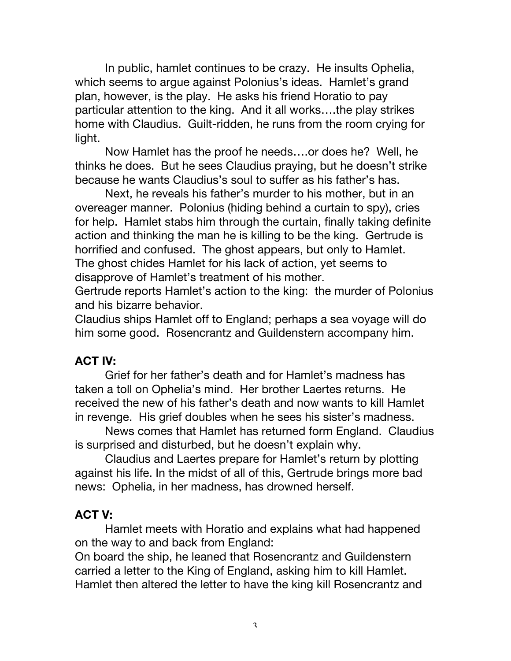In public, hamlet continues to be crazy. He insults Ophelia, which seems to argue against Polonius's ideas. Hamlet's grand plan, however, is the play. He asks his friend Horatio to pay particular attention to the king. And it all works….the play strikes home with Claudius. Guilt-ridden, he runs from the room crying for light.

Now Hamlet has the proof he needs….or does he? Well, he thinks he does. But he sees Claudius praying, but he doesn't strike because he wants Claudius's soul to suffer as his father's has.

Next, he reveals his father's murder to his mother, but in an overeager manner. Polonius (hiding behind a curtain to spy), cries for help. Hamlet stabs him through the curtain, finally taking definite action and thinking the man he is killing to be the king. Gertrude is horrified and confused. The ghost appears, but only to Hamlet. The ghost chides Hamlet for his lack of action, yet seems to disapprove of Hamlet's treatment of his mother.

Gertrude reports Hamlet's action to the king: the murder of Polonius and his bizarre behavior.

Claudius ships Hamlet off to England; perhaps a sea voyage will do him some good. Rosencrantz and Guildenstern accompany him.

### **ACT IV:**

Grief for her father's death and for Hamlet's madness has taken a toll on Ophelia's mind. Her brother Laertes returns. He received the new of his father's death and now wants to kill Hamlet in revenge. His grief doubles when he sees his sister's madness.

News comes that Hamlet has returned form England. Claudius is surprised and disturbed, but he doesn't explain why.

Claudius and Laertes prepare for Hamlet's return by plotting against his life. In the midst of all of this, Gertrude brings more bad news: Ophelia, in her madness, has drowned herself.

### **ACT V:**

Hamlet meets with Horatio and explains what had happened on the way to and back from England:

On board the ship, he leaned that Rosencrantz and Guildenstern carried a letter to the King of England, asking him to kill Hamlet. Hamlet then altered the letter to have the king kill Rosencrantz and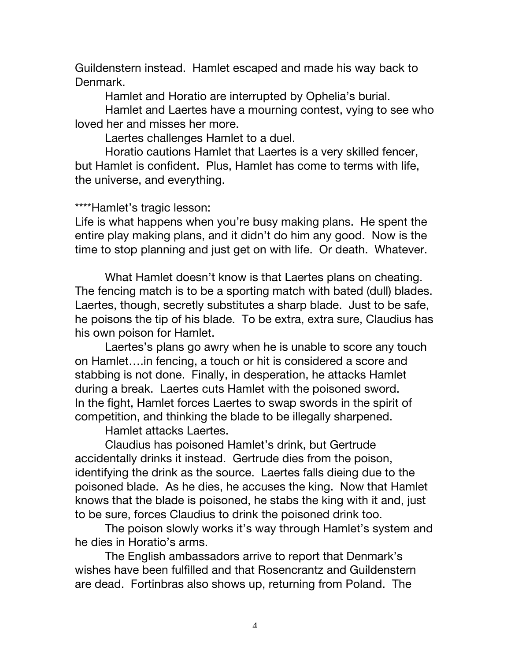Guildenstern instead. Hamlet escaped and made his way back to Denmark.

Hamlet and Horatio are interrupted by Ophelia's burial.

Hamlet and Laertes have a mourning contest, vying to see who loved her and misses her more.

Laertes challenges Hamlet to a duel.

Horatio cautions Hamlet that Laertes is a very skilled fencer, but Hamlet is confident. Plus, Hamlet has come to terms with life, the universe, and everything.

#### \*\*\*\*Hamlet's tragic lesson:

Life is what happens when you're busy making plans. He spent the entire play making plans, and it didn't do him any good. Now is the time to stop planning and just get on with life. Or death. Whatever.

What Hamlet doesn't know is that Laertes plans on cheating. The fencing match is to be a sporting match with bated (dull) blades. Laertes, though, secretly substitutes a sharp blade. Just to be safe, he poisons the tip of his blade. To be extra, extra sure, Claudius has his own poison for Hamlet.

Laertes's plans go awry when he is unable to score any touch on Hamlet….in fencing, a touch or hit is considered a score and stabbing is not done. Finally, in desperation, he attacks Hamlet during a break. Laertes cuts Hamlet with the poisoned sword. In the fight, Hamlet forces Laertes to swap swords in the spirit of competition, and thinking the blade to be illegally sharpened.

Hamlet attacks Laertes.

Claudius has poisoned Hamlet's drink, but Gertrude accidentally drinks it instead. Gertrude dies from the poison, identifying the drink as the source. Laertes falls dieing due to the poisoned blade. As he dies, he accuses the king. Now that Hamlet knows that the blade is poisoned, he stabs the king with it and, just to be sure, forces Claudius to drink the poisoned drink too.

The poison slowly works it's way through Hamlet's system and he dies in Horatio's arms.

The English ambassadors arrive to report that Denmark's wishes have been fulfilled and that Rosencrantz and Guildenstern are dead. Fortinbras also shows up, returning from Poland. The